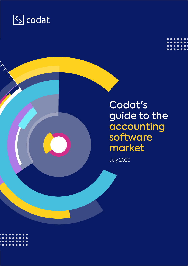

## Codat's guide to the accounting software market

July 2020

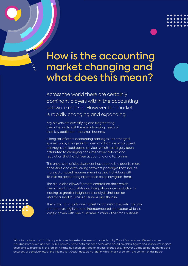## How is the accounting market changing and what does this mean?

Across the world there are certainly dominant players within the accounting software market. However the market is rapidly changing and expanding.

Key players are diversifying and fragmenting their offering to suit the ever changing needs of their key audience - the small business.

A long tail of other accounting packages has emerged, spurred on by a huge shift in demand from desktop based packages to cloud based services which has largely been attributed to changing consumer expectations and regulation that has driven accounting and tax online.

The expansion of cloud services has opened the door to more accessible and cost-saving software packages that include more automated features meaning that individuals with little to no accounting experience could navigate them.

The cloud also allows for more centralised data which freely flows through APIs and integrations across platforms leading to greater insights and analysis that can be vital for a small business to survive and flourish.



The accounting software market has transformed into a highly competitive, digitized and interconnected landscape which is largely driven with one customer in mind - the small business.

\*All data contained within this paper is based on extensive research carried out by Codat from various different sources, including both public and non-public sources. Some data has been calculated based on global figures and split across regions according to presence in the region. All data has been provided on a best-efforts basis, however Codat cannot guarantee the accuracy or completeness of this information. Codat accepts no liability which might arise from the content of this paper.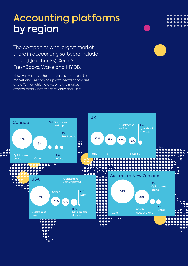## Accounting platforms by region

The companies with largest market share in accounting software include Intuit (Quickbooks), Xero, Sage, FreshBooks, Wave and MYOB.

However, various other companies operate in the market and are coming up with new technologies and offerings which are helping the market expand rapidly in terms of revenue and users.

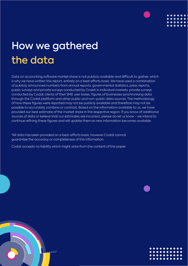

# How we gathered the data

Data on accounting software market share is not publicly available and difficult to gather, which is why we have written this report, entirely on a best efforts basis. We have used a combination of publicly announced numbers from annual reports, governmental statistics, press reports, public surveys and private surveys conducted by Codat in individual markets, private surveys conducted by Codat clients of their SME user bases, figures of businesses synchronising data through the Codat platform and other public and non-public data sources. The methodology of how these figures were reported may not be publicly available and therefore may not be possible to accurately combine or contrast. Based on the information available to us, we have provided our best estimate of the market share in the respective region. If you know of additional sources of data or believe that our estimates are incorrect, please do let us know - we intend to continue refining these figures and will update them as new information becomes available.

\*All data has been provided on a best-efforts basis, however Codat cannot guarantee the accuracy or completeness of this information.

Codat accepts no liability which might arise from the content of this paper.



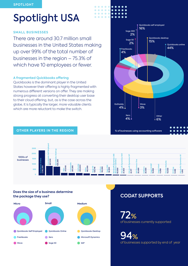# <span id="page-4-0"></span>Spotlight USA

#### **SMALL BUSINESSES**

There are around 30.7 million small businesses in the United States making up over 99% of the total number of businesses in the region – 75.3% of which have 10 employees or fewer.

#### **A fragmented Quickbooks offering**

Quickbooks is the dominant player in the United States however their offering is highly fragmented with numerous different versions on offer. They are making strong progress at converting their desktop user base to their cloud offering, but, as is the case across the globe, it is typically the larger, more valuable clients which are more reluctant to make the switch.



#### **OTHER PLAYERS IN THE REGION**



 $\bullet$ 

#### **Does the size of a business determine the package they use?**



### **CODAT SUPPORTS**

72% of businesses currently supported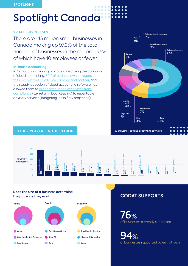#### <span id="page-5-0"></span>**SPOTLIGHT**

### $\bullet$ Spotlight Canada

#### **SMALL BUSINESSES**

There are 1.15 million small businesses in Canada making up 97.9% of the total number of businesses in the region – 75% of which have 10 employees or fewer.

#### **In-house accounting**

In Canada, accounting practices are driving the adoption of cloud accounting. [82% of business owners regard](https://futurefirm.co/the-future-of-cloud-accounting-in-canada/)  [their accountant as a trusted advisor and partner](https://futurefirm.co/the-future-of-cloud-accounting-in-canada/), and the steady adoption of cloud accounting software has allowed them to [expand the range of services from](https://futurefirm.co/the-2020-xero-canada-report-10-must-know-insights/)  [compliance](https://futurefirm.co/the-2020-xero-canada-report-10-must-know-insights/) (tax returns, bookkeeping) to repeatable advisory services (budgeting, cash flow projection).



### **OTHER PLAYERS IN THE REGION**



 $\blacksquare$  $\sim$ 

#### **Does the size of a business determine the package they use?**



### **CODAT SUPPORTS**

76% of businesses currently supported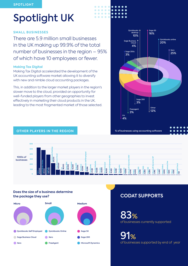# <span id="page-6-0"></span>Spotlight UK

#### **SMALL BUSINESSES**

There are 5.9 million small businesses in the UK making up 99.9% of the total number of businesses in the region – 95% of which have 10 employees or fewer.

#### **Making Tax Digital**

Making Tax Digital accelerated the development of the UK accounting software market allowing it to diversify with new and nimble cloud accounting packages.

This, in addition to the larger market players in the region's slower move to the cloud, provided an opportunity for well-funded players from other geographies to invest effectively in marketing their cloud products in the UK, leading to the most fragmented market of those selected.



### **OTHER PLAYERS IN THE REGION**



 $\bullet$  $\blacksquare$ 

 $\bullet$  $\bullet$  $\sim$ 

 $\bullet$ 

#### **Does the size of a business determine the package they use?**



### **CODAT SUPPORTS**

83% of businesses currently supported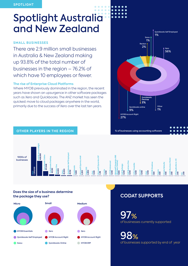# Spotlight Australia and New Zealand

### **SMALL BUSINESSES**

There are 2.9 million small businesses in Australia & New Zealand making up 93.8% of the total number of businesses in the region – 76.2% of which have 10 employees or fewer.

#### **The rise of Enterprise Cloud Platforms**

**OTHER PLAYERS IN THE REGION**

Where MYOB previously dominated in the region, the recent years have shown an upsurgence in other software packages such as Xero and Quickbooks. The ANZ market has seen the quickest move to cloud packages anywhere in the world, primarily due to the success of Xero over the last ten years.



#### **Abel 1,000 MYOB Greetree 580 Syspro 500 Oracle Netsuite S500 APByDesign 1,000 SAP Business One 1,000 Infor Cloudsite 1,000 Eci M1 1,000 Unit4 BusinessWorld**  $\frac{1}{2}$ 8 **IFSApplications v10 M200 N2 200 icrosoft Dynmics NAV 2,200 Sage 300 2,000 Jiwa 1,500 Microsoft Dynamics GP 1 R,318 eckon One 54,000 Quickbooks Desktop 65 Quickboo ,150 ks Online 201,848 MYOBAccountRight 628,000 Xero 1,306,000 Sassu 25,000 Quickbooks SelfEmployed 22,152 Freshbooks 7,800 Pronto 1,050 MYOBAdvanced 1,000** 1000s of businesses

#### **Does the size of a business determine the package they use?**



### **CODAT SUPPORTS**

97% of businesses currently supported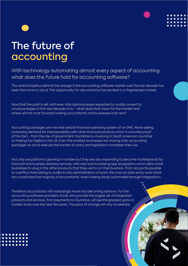# The future of accounting

### With technology automating almost every aspect of accounting what does the future hold for accounting software?

The central impetus behind the change in the accounting software market over the last decade has been the move to cloud. This opportunity for new entrants has resulted in a fragmented market.

Now that the path is set, with even mid-size businesses expected to mostly convert to cloud packages in the next decade or so - what does that mean for the market and where will the most forward-looking accountants and businesses look next?

Accounting packages are now the central financial operating system of an SME. We're seeing increasing demand for interoperability with other financial products which is concrete proof of this fact - from the rise of government mandated e-invoicing in South American countries to Making Tax Digital in the UK. Even the smallest businesses are moving onto accounting packages as cloud reduces the barriers to entry and legislation mandates their use.

Not only are platforms growing in number but they are also expanding to become marketplaces for financial and business advisory services, with vast and increasing app ecosystems which allow small businesses to plug in the other products that they use to run their business. From accounts payable to cashflow forecasting to audits to the administration of loans, the manual data entry work which has constituted the majority of accountants' work is being slowly automated through integrations.

Therefore accountants will increasingly move into becoming advisors. For the accounting software providers, those who provide the largest set of integrated products and services, from payments to insurance, will see the greatest gains in market share over the next few years. The pace of change will only accelerate.